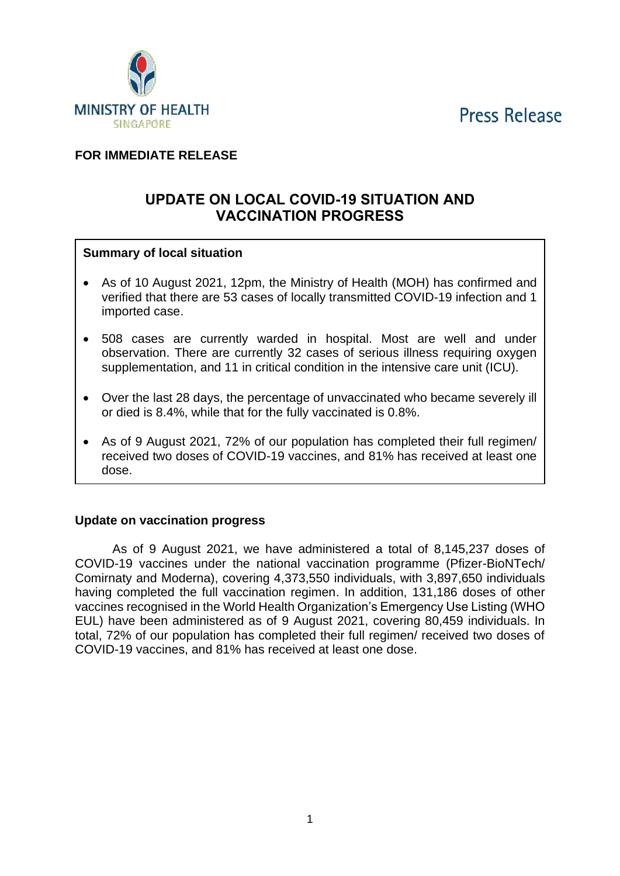**Press Release** 



## **FOR IMMEDIATE RELEASE**

# **UPDATE ON LOCAL COVID-19 SITUATION AND VACCINATION PROGRESS**

#### **Summary of local situation**

- As of 10 August 2021, 12pm, the Ministry of Health (MOH) has confirmed and verified that there are 53 cases of locally transmitted COVID-19 infection and 1 imported case.
- 508 cases are currently warded in hospital. Most are well and under observation. There are currently 32 cases of serious illness requiring oxygen supplementation, and 11 in critical condition in the intensive care unit (ICU).
- Over the last 28 days, the percentage of unvaccinated who became severely ill or died is 8.4%, while that for the fully vaccinated is 0.8%.
- As of 9 August 2021, 72% of our population has completed their full regimen/ received two doses of COVID-19 vaccines, and 81% has received at least one dose.

#### **Update on vaccination progress**

As of 9 August 2021, we have administered a total of 8,145,237 doses of COVID-19 vaccines under the national vaccination programme (Pfizer-BioNTech/ Comirnaty and Moderna), covering 4,373,550 individuals, with 3,897,650 individuals having completed the full vaccination regimen. In addition, 131,186 doses of other vaccines recognised in the World Health Organization's Emergency Use Listing (WHO EUL) have been administered as of 9 August 2021, covering 80,459 individuals. In total, 72% of our population has completed their full regimen/ received two doses of COVID-19 vaccines, and 81% has received at least one dose.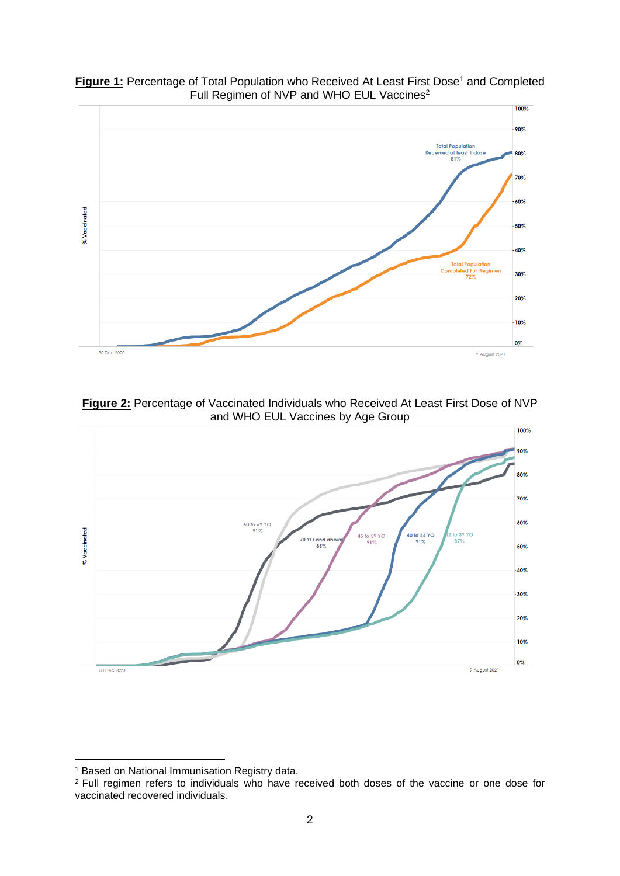

Figure 1: Percentage of Total Population who Received At Least First Dose<sup>1</sup> and Completed Full Regimen of NVP and WHO EUL Vaccines<sup>2</sup>

**Figure 2:** Percentage of Vaccinated Individuals who Received At Least First Dose of NVP and WHO EUL Vaccines by Age Group



<sup>&</sup>lt;sup>1</sup> Based on National Immunisation Registry data.

<sup>&</sup>lt;sup>2</sup> Full regimen refers to individuals who have received both doses of the vaccine or one dose for vaccinated recovered individuals.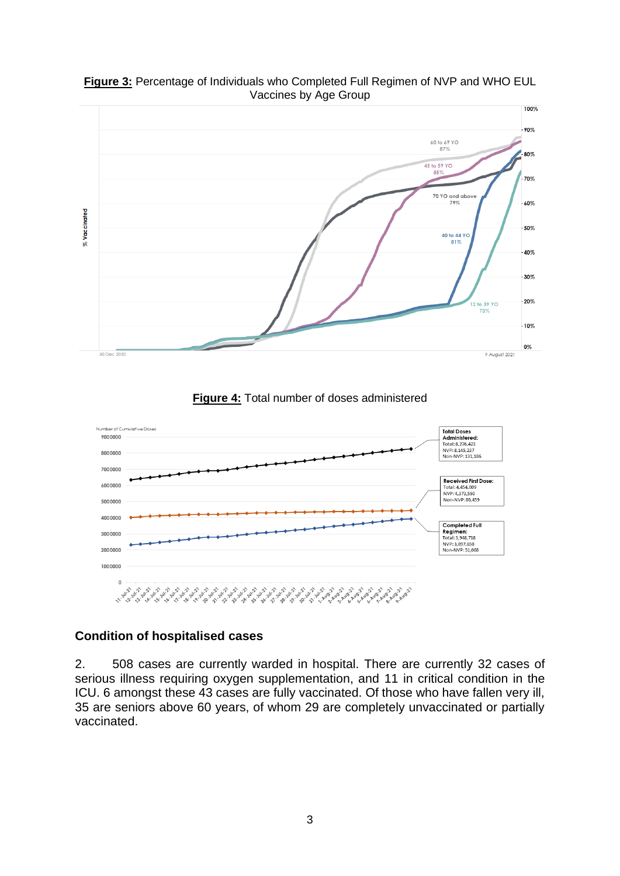

**Figure 3:** Percentage of Individuals who Completed Full Regimen of NVP and WHO EUL Vaccines by Age Group

**Figure 4:** Total number of doses administered



### **Condition of hospitalised cases**

2. 508 cases are currently warded in hospital. There are currently 32 cases of serious illness requiring oxygen supplementation, and 11 in critical condition in the ICU. 6 amongst these 43 cases are fully vaccinated. Of those who have fallen very ill, 35 are seniors above 60 years, of whom 29 are completely unvaccinated or partially vaccinated.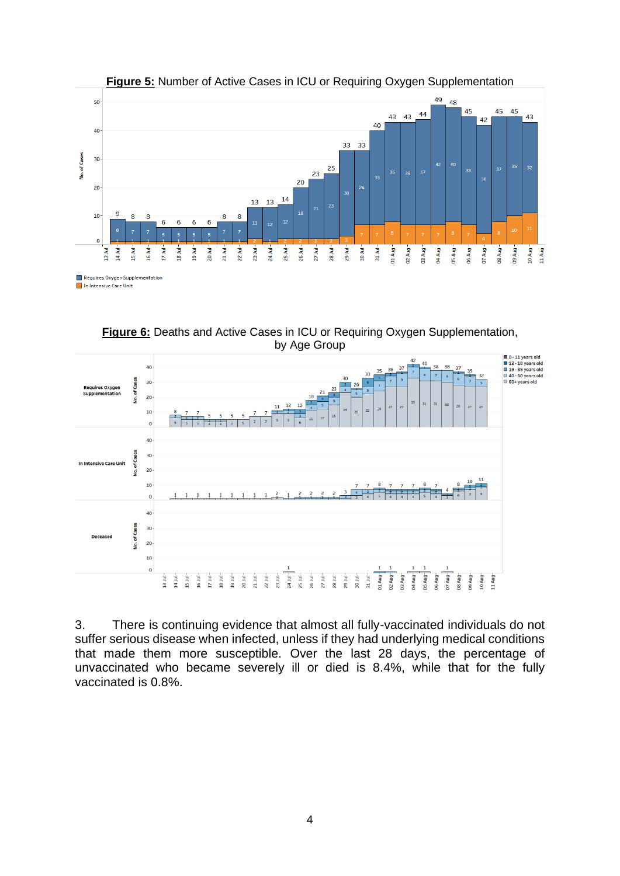

**Figure 5:** Number of Active Cases in ICU or Requiring Oxygen Supplementation

**Figure 6:** Deaths and Active Cases in ICU or Requiring Oxygen Supplementation, by Age Group



3. There is continuing evidence that almost all fully-vaccinated individuals do not suffer serious disease when infected, unless if they had underlying medical conditions that made them more susceptible. Over the last 28 days, the percentage of unvaccinated who became severely ill or died is 8.4%, while that for the fully vaccinated is 0.8%.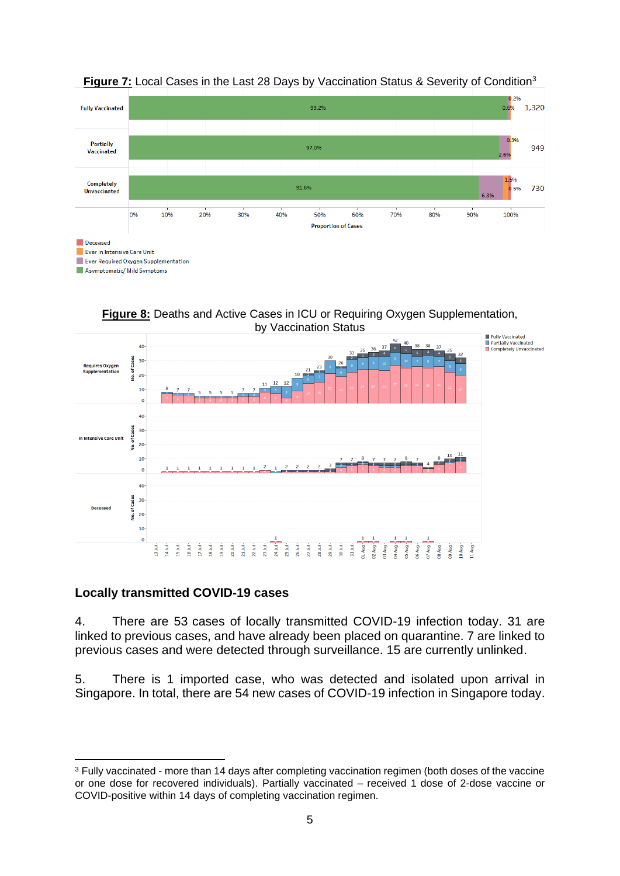

#### **Figure 7:** Local Cases in the Last 28 Days by Vaccination Status & Severity of Condition<sup>3</sup>

**Figure 8:** Deaths and Active Cases in ICU or Requiring Oxygen Supplementation, by Vaccination Status



### **Locally transmitted COVID-19 cases**

4. There are 53 cases of locally transmitted COVID-19 infection today. 31 are linked to previous cases, and have already been placed on quarantine. 7 are linked to previous cases and were detected through surveillance. 15 are currently unlinked.

5. There is 1 imported case, who was detected and isolated upon arrival in Singapore. In total, there are 54 new cases of COVID-19 infection in Singapore today.

<sup>&</sup>lt;sup>3</sup> Fully vaccinated - more than 14 days after completing vaccination regimen (both doses of the vaccine or one dose for recovered individuals). Partially vaccinated – received 1 dose of 2-dose vaccine or COVID-positive within 14 days of completing vaccination regimen.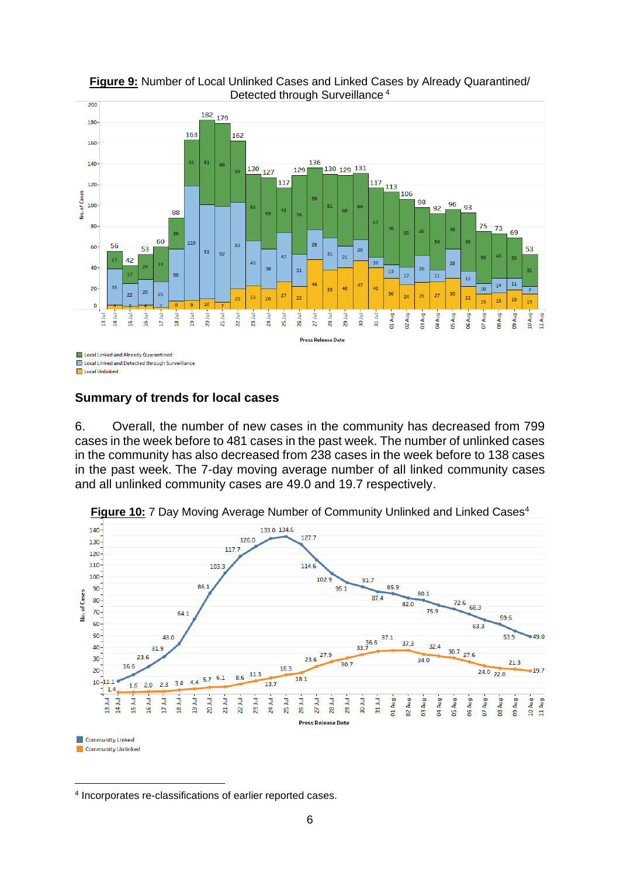

**Figure 9:** Number of Local Unlinked Cases and Linked Cases by Already Quarantined/ Detected through Surveillance <sup>4</sup>

#### **Summary of trends for local cases**

6. Overall, the number of new cases in the community has decreased from 799 cases in the week before to 481 cases in the past week. The number of unlinked cases in the community has also decreased from 238 cases in the week before to 138 cases in the past week. The 7-day moving average number of all linked community cases and all unlinked community cases are 49.0 and 19.7 respectively.



**Figure 10:** 7 Day Moving Average Number of Community Unlinked and Linked Cases<sup>4</sup>

<sup>4</sup> Incorporates re-classifications of earlier reported cases.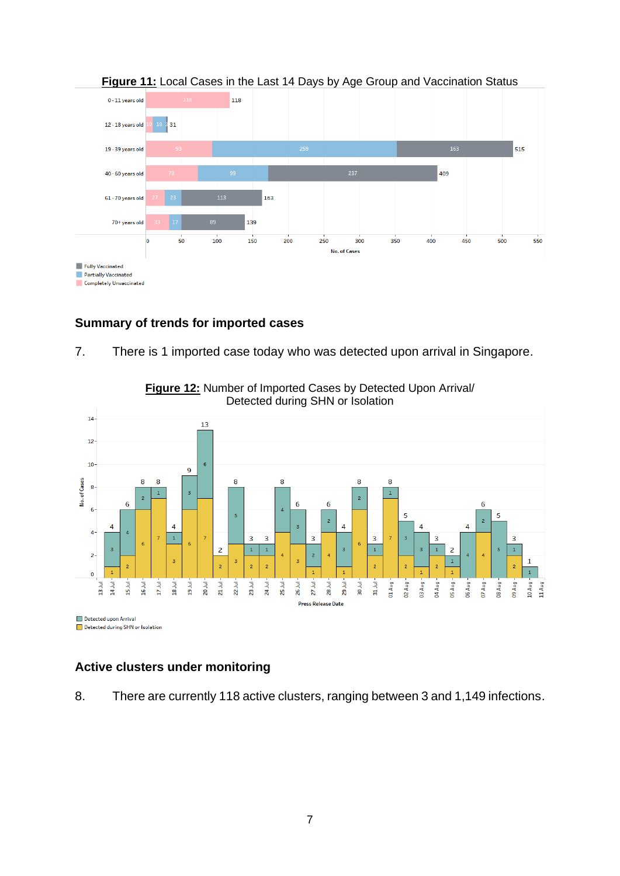

#### **Figure 11:** Local Cases in the Last 14 Days by Age Group and Vaccination Status

#### **Summary of trends for imported cases**

7. There is 1 imported case today who was detected upon arrival in Singapore.



**Figure 12:** Number of Imported Cases by Detected Upon Arrival/ Detected during SHN or Isolation

### **Active clusters under monitoring**

Detected during SHN or Isolation

8. There are currently 118 active clusters, ranging between 3 and 1,149 infections.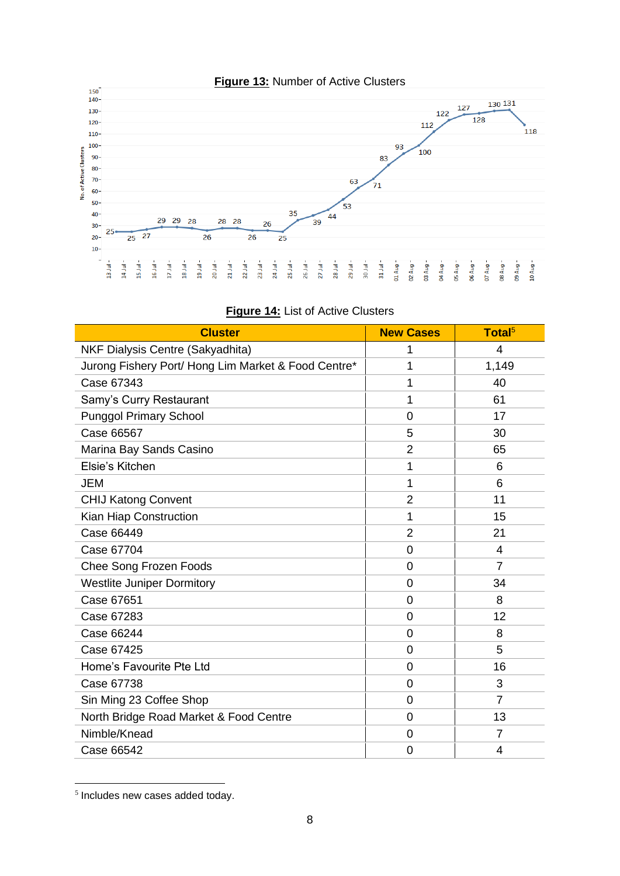

| <b>Cluster</b>                                      | <b>New Cases</b> | Total <sup>5</sup> |
|-----------------------------------------------------|------------------|--------------------|
| NKF Dialysis Centre (Sakyadhita)                    | 1                | $\overline{4}$     |
| Jurong Fishery Port/ Hong Lim Market & Food Centre* | 1                | 1,149              |
| Case 67343                                          | 1                | 40                 |
| Samy's Curry Restaurant                             | 1                | 61                 |
| <b>Punggol Primary School</b>                       | 0                | 17                 |
| Case 66567                                          | 5                | 30                 |
| Marina Bay Sands Casino                             | $\overline{2}$   | 65                 |
| Elsie's Kitchen                                     | 1                | 6                  |
| JEM                                                 | 1                | 6                  |
| <b>CHIJ Katong Convent</b>                          | $\overline{2}$   | 11                 |
| Kian Hiap Construction                              | 1                | 15                 |
| Case 66449                                          | $\overline{2}$   | 21                 |
| Case 67704                                          | 0                | 4                  |
| Chee Song Frozen Foods                              | $\overline{0}$   | $\overline{7}$     |
| <b>Westlite Juniper Dormitory</b>                   | 0                | 34                 |
| Case 67651                                          | $\overline{0}$   | 8                  |
| Case 67283                                          | 0                | 12                 |
| Case 66244                                          | 0                | 8                  |
| Case 67425                                          | 0                | 5                  |
| Home's Favourite Pte Ltd                            | 0                | 16                 |
| Case 67738                                          | 0                | 3                  |
| Sin Ming 23 Coffee Shop                             | $\overline{0}$   | $\overline{7}$     |
| North Bridge Road Market & Food Centre              | $\Omega$         | 13                 |
| Nimble/Knead                                        | 0                | $\overline{7}$     |
| Case 66542                                          | 0                | 4                  |

| <b>Figure 14: List of Active Clusters</b> |  |
|-------------------------------------------|--|
|-------------------------------------------|--|

<sup>5</sup> Includes new cases added today.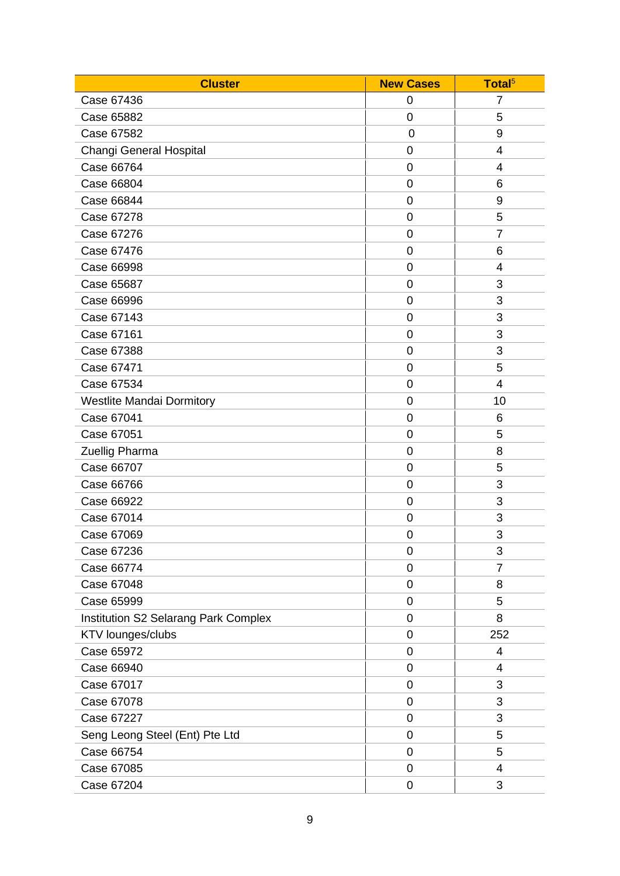| <b>Cluster</b>                              | <b>New Cases</b> | Total <sup>5</sup> |
|---------------------------------------------|------------------|--------------------|
| Case 67436                                  | 0                | 7                  |
| Case 65882                                  | $\overline{0}$   | 5                  |
| Case 67582                                  | 0                | 9                  |
| Changi General Hospital                     | 0                | 4                  |
| Case 66764                                  | $\mathbf 0$      | 4                  |
| Case 66804                                  | $\mathbf 0$      | 6                  |
| <b>Case 66844</b>                           | $\mathbf 0$      | $9\,$              |
| Case 67278                                  | $\mathbf 0$      | 5                  |
| Case 67276                                  | $\mathbf 0$      | $\overline{7}$     |
| Case 67476                                  | 0                | 6                  |
| Case 66998                                  | $\mathbf 0$      | 4                  |
| Case 65687                                  | 0                | 3                  |
| Case 66996                                  | $\mathbf 0$      | 3                  |
| Case 67143                                  | $\mathbf 0$      | 3                  |
| Case 67161                                  | 0                | 3                  |
| Case 67388                                  | $\mathbf 0$      | 3                  |
| Case 67471                                  | $\overline{0}$   | 5                  |
| Case 67534                                  | $\mathbf 0$      | $\overline{4}$     |
| <b>Westlite Mandai Dormitory</b>            | $\mathbf 0$      | 10                 |
| Case 67041                                  | $\overline{0}$   | 6                  |
| Case 67051                                  | $\mathbf 0$      | 5                  |
| Zuellig Pharma                              | $\mathbf 0$      | 8                  |
| Case 66707                                  | $\mathbf 0$      | 5                  |
| Case 66766                                  | $\mathbf 0$      | 3                  |
| Case 66922                                  | 0                | 3                  |
| Case 67014                                  | 0                | 3                  |
| Case 67069                                  | $\mathbf 0$      | 3                  |
| Case 67236                                  | 0                | 3                  |
| Case 66774                                  | $\mathbf 0$      | 7                  |
| Case 67048                                  | $\overline{0}$   | 8                  |
| Case 65999                                  | 0                | 5                  |
| <b>Institution S2 Selarang Park Complex</b> | $\pmb{0}$        | 8                  |
| KTV lounges/clubs                           | $\overline{0}$   | 252                |
| Case 65972                                  | 0                | 4                  |
| Case 66940                                  | $\pmb{0}$        | 4                  |
| Case 67017                                  | $\overline{0}$   | 3                  |
| Case 67078                                  | 0                | 3                  |
| Case 67227                                  | $\overline{0}$   | 3                  |
| Seng Leong Steel (Ent) Pte Ltd              | $\overline{0}$   | 5                  |
| Case 66754                                  | $\mathbf 0$      | 5                  |
| Case 67085                                  | 0                | 4                  |
| Case 67204                                  | 0                | 3                  |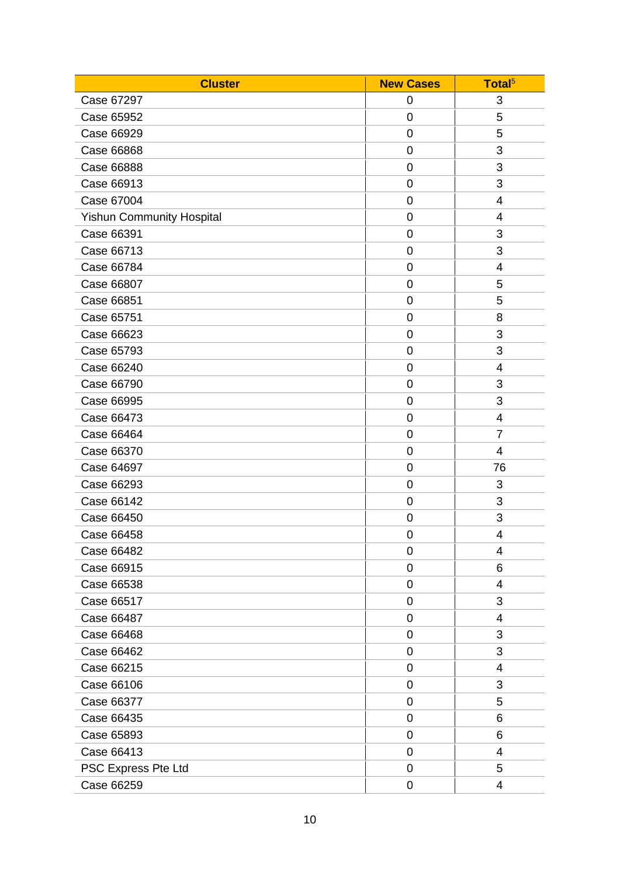| <b>Cluster</b>                   | <b>New Cases</b> | Total <sup>5</sup> |
|----------------------------------|------------------|--------------------|
| Case 67297                       | 0                | 3                  |
| Case 65952                       | $\mathbf 0$      | 5                  |
| Case 66929                       | 0                | 5                  |
| Case 66868                       | 0                | 3                  |
| Case 66888                       | $\mathbf 0$      | 3                  |
| Case 66913                       | $\mathbf 0$      | 3                  |
| Case 67004                       | 0                | 4                  |
| <b>Yishun Community Hospital</b> | $\mathbf 0$      | 4                  |
| Case 66391                       | $\mathbf 0$      | 3                  |
| Case 66713                       | 0                | 3                  |
| Case 66784                       | $\mathbf 0$      | 4                  |
| Case 66807                       | 0                | 5                  |
| Case 66851                       | $\mathbf 0$      | 5                  |
| Case 65751                       | $\mathbf 0$      | 8                  |
| Case 66623                       | 0                | 3                  |
| Case 65793                       | 0                | 3                  |
| Case 66240                       | $\mathbf 0$      | 4                  |
| Case 66790                       | $\mathbf 0$      | 3                  |
| Case 66995                       | 0                | 3                  |
| Case 66473                       | 0                | 4                  |
| Case 66464                       | $\mathbf 0$      | $\overline{7}$     |
| Case 66370                       | 0                | 4                  |
| Case 64697                       | $\mathbf 0$      | 76                 |
| Case 66293                       | 0                | 3                  |
| Case 66142                       | 0                | 3                  |
| Case 66450                       | $\mathbf 0$      | 3                  |
| Case 66458                       | $\mathbf 0$      | 4                  |
| Case 66482                       | 0                | 4                  |
| Case 66915                       | $\mathbf 0$      | 6                  |
| Case 66538                       | $\overline{0}$   | 4                  |
| Case 66517                       | 0                | 3                  |
| Case 66487                       | $\mathbf 0$      | 4                  |
| Case 66468                       | $\overline{0}$   | 3                  |
| Case 66462                       | 0                | 3                  |
| Case 66215                       | $\mathbf 0$      | 4                  |
| Case 66106                       | $\overline{0}$   | 3                  |
| Case 66377                       | 0                | 5                  |
| Case 66435                       | 0                | 6                  |
| Case 65893                       | $\mathbf 0$      | 6                  |
| Case 66413                       | $\mathbf 0$      | 4                  |
| PSC Express Pte Ltd              | 0                | 5                  |
| Case 66259                       | 0                | 4                  |